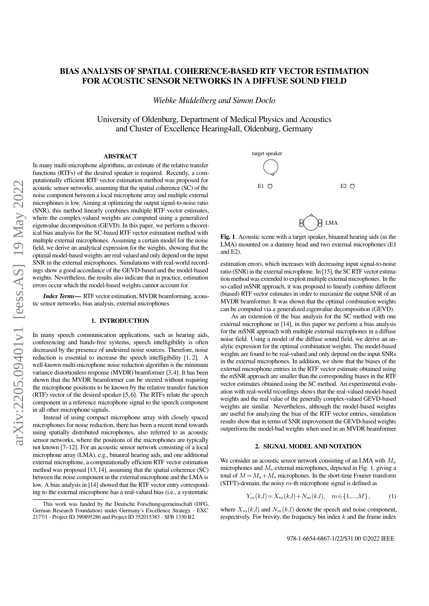# BIAS ANALYSIS OF SPATIAL COHERENCE-BASED RTF VECTOR ESTIMATION FOR ACOUSTIC SENSOR NETWORKS IN A DIFFUSE SOUND FIELD

*Wiebke Middelberg and Simon Doclo*

University of Oldenburg, Department of Medical Physics and Acoustics and Cluster of Excellence Hearing4all, Oldenburg, Germany

and E2).

#### ABSTRACT

arXiv:2205.09401v1 [eess.AS] 19 May 2022 arXiv:2205.09401v1 [eess.AS] 19 May 2022

In many multi-microphone algorithms, an estimate of the relative transfer functions (RTFs) of the desired speaker is required. Recently, a computationally efficient RTF vector estimation method was proposed for acoustic sensor networks, assuming that the spatial coherence (SC) of the noise component between a local microphone array and multiple external microphones is low. Aiming at optimizing the output signal-to-noise ratio (SNR), this method linearly combines multiple RTF vector estimates, where the complex-valued weights are computed using a generalized eigenvalue decomposition (GEVD). In this paper, we perform a theoretical bias analysis for the SC-based RTF vector estimation method with multiple external microphones. Assuming a certain model for the noise field, we derive an analytical expression for the weights, showing that the optimal model-based weights are real-valued and only depend on the input SNR in the external microphones. Simulations with real-world recordings show a good accordance of the GEVD-based and the model-based weights. Nevertheless, the results also indicate that in practice, estimation errors occur which the model-based weights cannot account for.

*Index Terms*— RTF vector estimation, MVDR beamforming, acoustic sensor networks, bias analysis, external microphones

#### 1. INTRODUCTION

In many speech communication applications, such as hearing aids, conferencing and hands-free systems, speech intelligibility is often decreased by the presence of undesired noise sources. Therefore, noise reduction is essential to increase the speech intelligibility [\[1,](#page-4-0) [2\]](#page-4-1). A well-known multi-microphone noise reduction algorithm is the minimum variance distortionless response (MVDR) beamformer [\[3,](#page-4-2) [4\]](#page-4-3). It has been shown that the MVDR beamformer can be steered without requiring the microphone positions to be known by the relative transfer function (RTF) vector of the desired speaker [\[5,](#page-4-4) [6\]](#page-4-5). The RTFs relate the speech component in a reference microphone signal to the speech component in all other microphone signals.

Instead of using compact microphone array with closely spaced microphones for noise reduction, there has been a recent trend towards using spatially distributed microphones, also referred to as acoustic sensor networks, where the positions of the microphones are typically not known [\[7–](#page-4-6)[12\]](#page-4-7). For an acoustic sensor network consisting of a local microphone array (LMA), e.g., binaural hearing aids, and one additional external microphone, a computationally efficient RTF vector estimation method was proposed [\[13,](#page-4-8) [14\]](#page-4-9), assuming that the spatial coherence (SC) between the noise component in the external microphone and the LMA is low. A bias analysis in [\[14\]](#page-4-9) showed that the RTF vector entry corresponding to the external microphone has a real-valued bias (i.e., a systematic



<span id="page-0-0"></span>Fig. 1. Acoustic scene with a target speaker, binaural hearing aids (as the LMA) mounted on a dummy head and two external microphones (E1

LMA

estimation error), which increases with decreasing input signal-to-noise ratio (SNR) in the external microphone. In [\[15\]](#page-4-10), the SC RTF vector estimation method was extended to exploit multiple external microphones. In the so-called mSNR approach, it was proposed to linearly combine different (biased) RTF vector estimates in order to maximize the output SNR of an MVDR beamformer. It was shown that the optimal combination weights can be computed via a generalized eigenvalue decomposition (GEVD).

As an extension of the bias analysis for the SC method with one external microphone in [\[14\]](#page-4-9), in this paper we perform a bias analysis for the mSNR approach with multiple external microphones in a diffuse noise field. Using a model of the diffuse sound field, we derive an analytic expression for the optimal combination weights. The model-based weights are found to be real-valued and only depend on the input SNRs in the external microphones. In addition, we show that the biases of the external microphone entries in the RTF vector estimate obtained using the mSNR approach are smaller than the corresponding biases in the RTF vector estimates obtained using the SC method. An experimental evaluation with real-world recordings shows that the real-valued model-based weights and the real value of the generally complex-valued GEVD-based weights are similar. Nevertheless, although the model-based weights are useful for analyzing the bias of the RTF vector entries, simulation results show that in terms of SNR improvement the GEVD-based weights outperform the model-bad weights when used in an MVDR beamformer.

### 2. SIGNAL MODEL AND NOTATION

We consider an acoustic sensor network consisting of an LMA with  $M_a$ microphones and  $M_e$  external microphones, depicted in Fig. [1,](#page-0-0) giving a total of  $M = M_a + M_e$  microphones. In the short-time Fourier transform (STFT)-domain, the noisy  $m$ -th microphone signal is defined as

$$
Y_m(k,l) = X_m(k,l) + N_m(k,l), \quad m \in \{1, \dots, M\},\tag{1}
$$

where  $X_m(k,l)$  and  $N_m(k,l)$  denote the speech and noise component, respectively. For brevity, the frequency bin index  $k$  and the frame index

This work was funded by the Deutsche Forschungsgemeinschaft (DFG, German Research Foundation) under Germany's Excellence Strategy - EXC 2177/1 - Project ID 390895286 and Project ID 352015383 - SFB 1330 B2.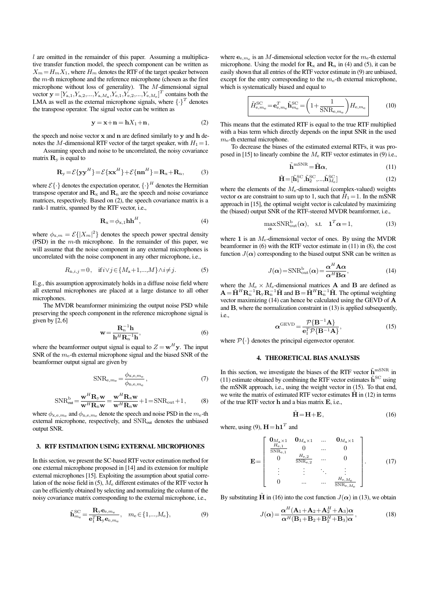$l$  are omitted in the remainder of this paper. Assuming a multiplicative transfer function model, the speech component can be written as  $X_m = H_m X_1$ , where  $H_m$  denotes the RTF of the target speaker between the  $m$ -th microphone and the reference microphone (chosen as the first microphone without loss of generality). The M-dimensional signal vector  $\mathbf{y} = [Y_{a,1}, Y_{a,2},..., Y_{a,M_a}, Y_{e,1}, Y_{e,2},..., Y_{e,M_e}]^T$  contains both the LMA as well as the external microphone signals, where  $\{\cdot\}^T$  denotes the transpose operator. The signal vector can be written as

<span id="page-1-0"></span>
$$
y = x + n = hX_1 + n,\tag{2}
$$

the speech and noise vector  $x$  and  $n$  are defined similarly to  $v$  and  $h$  denotes the M-dimensional RTF vector of the target speaker, with  $H_1=1$ .

Assuming speech and noise to be uncorrelated, the noisy covariance matrix  $\mathbf{R}_{v}$  is equal to

<span id="page-1-14"></span>
$$
\mathbf{R}_{\mathbf{y}} = \mathcal{E}\{\mathbf{y}\mathbf{y}^H\} = \mathcal{E}\{\mathbf{x}\mathbf{x}^H\} + \mathcal{E}\{\mathbf{n}\mathbf{n}^H\} = \mathbf{R}_{\mathbf{x}} + \mathbf{R}_{\mathbf{n}},
$$
 (3)

where  $\mathcal{E}\{\cdot\}$  denotes the expectation operator,  $\{\cdot\}^H$  denotes the Hermitian transpose operator and  $\overrightarrow{\mathbf{R}_{x}}$  and  $\overrightarrow{\mathbf{R}_{n}}$  are the speech and noise covariance matrices, respectively. Based on [\(2\)](#page-1-0), the speech covariance matrix is a rank-1 matrix, spanned by the RTF vector, i.e.,

<span id="page-1-2"></span>
$$
\mathbf{R}_{\mathbf{x}} = \phi_{\mathbf{x},1} \mathbf{h} \mathbf{h}^H, \tag{4}
$$

where  $\phi_{x,m} = \mathcal{E}\{|X_m|^2\}$  denotes the speech power spectral density (PSD) in the  $m$ -th microphone. In the remainder of this paper, we will assume that the noise component in any external microphones is uncorrelated with the noise component in any other microphone, i.e.,

<span id="page-1-1"></span>
$$
R_{n,i,j} = 0, \quad \text{if } i \lor j \in \{M_a + 1, \dots, M\} \land i \neq j. \tag{5}
$$

E.g., this assumption approximately holds in a diffuse noise field where all external microphones are placed at a large distance to all other microphones.

The MVDR beamformer minimizing the output noise PSD while preserving the speech component in the reference microphone signal is given by  $[2, 6]$  $[2, 6]$ 

<span id="page-1-4"></span>
$$
\mathbf{w} = \frac{\mathbf{R}_{n}^{-1} \mathbf{h}}{\mathbf{h}^{H} \mathbf{R}_{n}^{-1} \mathbf{h}},\tag{6}
$$

where the beamformer output signal is equal to  $Z = \mathbf{w}^H \mathbf{y}$ . The input SNR of the  $m_e$ -th external microphone signal and the biased SNR of the beamformer output signal are given by

$$
\text{SNR}_{\text{e},m_{\text{e}}} = \frac{\phi_{\text{x,e},m_{\text{e}}}}{\phi_{\text{n,e},m_{\text{e}}}},\tag{7}
$$

<span id="page-1-6"></span>
$$
\text{SNR}_{\text{out}}^{\text{b}} = \frac{\mathbf{w}^H \mathbf{R}_{\text{y}} \mathbf{w}}{\mathbf{w}^H \mathbf{R}_{\text{n}} \mathbf{w}} = \frac{\mathbf{w}^H \mathbf{R}_{\text{x}} \mathbf{w}}{\mathbf{w}^H \mathbf{R}_{\text{n}} \mathbf{w}} + 1 = \text{SNR}_{\text{out}} + 1, \tag{8}
$$

where  $\phi_{\mathbf{x},\mathbf{e},m_{\mathbf{e}}}$  and  $\phi_{\mathbf{n},\mathbf{e},m_{\mathbf{e}}}$  denote the speech and noise PSD in the  $m_{\mathbf{e}}$ -th external microphone, respectively, and SNRout denotes the unbiased output SNR.

# 3. RTF ESTIMATION USING EXTERNAL MICROPHONES

In this section, we present the SC-based RTF vector estimation method for one external microphone proposed in [\[14\]](#page-4-9) and its extension for multiple external microphones [\[15\]](#page-4-10). Exploiting the assumption about spatial correlation of the noise field in  $(5)$ ,  $M_e$  different estimates of the RTF vector h can be efficiently obtained by selecting and normalizing the column of the noisy covariance matrix corresponding to the external microphone, i.e.,

<span id="page-1-3"></span>
$$
\tilde{\mathbf{h}}_{me}^{\text{SC}} = \frac{\mathbf{R}_{\mathbf{y}} \mathbf{e}_{\text{e},m_{\text{e}}}}{\mathbf{e}_{\text{T}}^T \mathbf{R}_{\mathbf{y}} \mathbf{e}_{\text{e},m_{\text{e}}}}, \quad m_{\text{e}} \in \{1,...,M_{\text{e}}\},\tag{9}
$$

where  ${\bf e}_{e,m_e}$  is an M-dimensional selection vector for the  $m_e$ -th external microphone. Using the model for  $\mathbf{R}_{\rm x}$  and  $\mathbf{R}_{\rm n}$  in [\(4\)](#page-1-2) and [\(5\)](#page-1-1), it can be easily shown that all entries of the RTF vector estimate in [\(9\)](#page-1-3) are unbiased, except for the entry corresponding to the  $m_e$ -th external microphone, which is systematically biased and equal to

<span id="page-1-15"></span>
$$
\hat{H}_{\text{e},m_{\text{e}}}^{\text{SC}} = \mathbf{e}_{\text{e},m_{\text{e}}}^{T} \tilde{\mathbf{h}}_{m_{\text{e}}}^{\text{SC}} = \left(1 + \frac{1}{\text{SNR}_{\text{e},m_{\text{e}}}}\right) H_{\text{e},m_{\text{e}}}
$$
(10)

This means that the estimated RTF is equal to the true RTF multiplied with a bias term which directly depends on the input SNR in the used  $m_e$ -th external microphone.

To decrease the biases of the estimated external RTFs, it was pro-posed in [\[15\]](#page-4-10) to linearly combine the  $M_e$  RTF vector estimates in [\(9\)](#page-1-3) i.e.,

<span id="page-1-5"></span>
$$
\tilde{\mathbf{h}}^{\text{mSNR}} = \tilde{\mathbf{H}} \alpha,\tag{11}
$$

<span id="page-1-10"></span>
$$
\tilde{\mathbf{H}} = [\tilde{\mathbf{h}}_1^{\text{SC}}, \tilde{\mathbf{h}}_2^{\text{SC}}, ..., \tilde{\mathbf{h}}_{M_e}^{\text{SC}}]
$$
(12)

where the elements of the  $M_e$ -dimensional (complex-valued) weights vector  $\alpha$  are constraint to sum up to 1, such that  $H_1 = 1$ . In the mSNR approach in [\[15\]](#page-4-10), the optimal weight vector is calculated by maximizing the (biased) output SNR of the RTF-steered MVDR beamformer, i.e.,

<span id="page-1-8"></span>
$$
\max_{\alpha} \text{SNR}_{\text{out}}^{\text{b}}(\alpha), \quad \text{s.t.} \quad \mathbf{1}^T \alpha = 1,\tag{13}
$$

where 1 is an  $M_e$ -dimensional vector of ones. By using the MVDR beamformer in [\(6\)](#page-1-4) with the RTF vector estimate in [\(11\)](#page-1-5) in [\(8\)](#page-1-6), the cost function  $J(\alpha)$  corresponding to the biased output SNR can be written as

<span id="page-1-7"></span>
$$
J(\alpha) = \text{SNR}_{\text{out}}^{\text{b}}(\alpha) = \frac{\alpha^H \mathbf{A} \alpha}{\alpha^H \mathbf{B} \alpha},
$$
 (14)

where the  $M_e \times M_e$ -dimensional matrices **A** and **B** are defined as  $\mathbf{A} = \tilde{\mathbf{H}}^H \mathbf{R}_{n}^{-1} \mathbf{R}_{y} \mathbf{R}_{n}^{-1} \tilde{\mathbf{H}}$  and  $\mathbf{B} = \tilde{\mathbf{H}}^H \mathbf{R}_{n}^{-1} \tilde{\mathbf{H}}$ . The optimal weighting vector maximizing [\(14\)](#page-1-7) can hence be calculated using the GEVD of A and B, where the normalization constraint in [\(13\)](#page-1-8) is applied subsequently, i.e.,

<span id="page-1-9"></span>
$$
\alpha^{\text{GEVD}} = \frac{\mathcal{P}\{\mathbf{B}^{-1}\mathbf{A}\}}{\mathbf{e}_{1}^{T}\mathcal{P}\{\mathbf{B}^{-1}\mathbf{A}\}},
$$
(15)

where  $\mathcal{P}\{\cdot\}$  denotes the principal eigenvector operator.

# 4. THEORETICAL BIAS ANALYSIS

<span id="page-1-16"></span>In this section, we investigate the biases of the RTF vector  $\tilde{\mathbf{h}}^{\text{mSNR}}$  in [\(11\)](#page-1-5) estimate obtained by combining the RTF vector estimates  $\tilde{h}^{SC}$  using the mSNR approach, i.e., using the weight vector in [\(15\)](#page-1-9). To that end, we write the matrix of estimated RTF vector estimates  $\tilde{H}$  in [\(12\)](#page-1-10) in terms of the true RTF vector h and a bias matrix E, i.e.,

<span id="page-1-11"></span>
$$
\tilde{\mathbf{H}} = \mathbf{H} + \mathbf{E},\tag{16}
$$

where, using [\(9\)](#page-1-3),  $H = h1<sup>T</sup>$  and

<span id="page-1-13"></span>
$$
\mathbf{E} = \begin{bmatrix} \mathbf{0}_{M_{\rm a} \times 1} & \mathbf{0}_{M_{\rm a} \times 1} & \dots & \mathbf{0}_{M_{\rm a} \times 1} \\ \frac{H_{\rm e,1}}{\text{SNR}_{\rm e,1}} & 0 & \dots & 0 \\ 0 & \frac{H_{\rm e,2}}{\text{SNR}_{\rm e,2}} & \dots & 0 \\ \vdots & \vdots & \ddots & \vdots \\ 0 & \dots & \dots & \frac{H_{\rm e, M_{\rm e}}}{\text{SNR}_{\rm e, M_{\rm e}}}\end{bmatrix} . \tag{17}
$$

By substituting  $\tilde{H}$  in [\(16\)](#page-1-11) into the cost function  $J(\alpha)$  in [\(13\)](#page-1-8), we obtain

<span id="page-1-12"></span>
$$
J(\alpha) = \frac{\alpha^H (\mathbf{A}_1 + \mathbf{A}_2 + \mathbf{A}_2^H + \mathbf{A}_3) \alpha}{\alpha^H (\mathbf{B}_1 + \mathbf{B}_2 + \mathbf{B}_2^H + \mathbf{B}_3) \alpha},
$$
(18)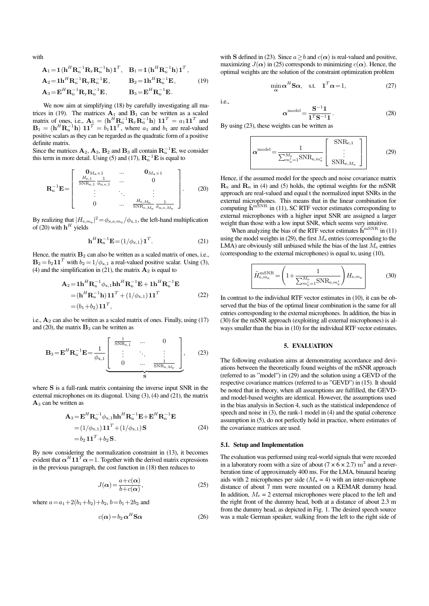with

<span id="page-2-0"></span>
$$
\mathbf{A}_{1} = \mathbf{1} (\mathbf{h}^{H} \mathbf{R}_{n}^{-1} \mathbf{R}_{y} \mathbf{R}_{n}^{-1} \mathbf{h}) \mathbf{1}^{T}, \quad \mathbf{B}_{1} = \mathbf{1} (\mathbf{h}^{H} \mathbf{R}_{n}^{-1} \mathbf{h}) \mathbf{1}^{T},
$$
\n
$$
\mathbf{A}_{2} = \mathbf{1} \mathbf{h}^{H} \mathbf{R}_{n}^{-1} \mathbf{R}_{y} \mathbf{R}_{n}^{-1} \mathbf{E}, \qquad \qquad \mathbf{B}_{2} = \mathbf{1} \mathbf{h}^{H} \mathbf{R}_{n}^{-1} \mathbf{E}, \qquad (19)
$$
\n
$$
\mathbf{A}_{3} = \mathbf{E}^{H} \mathbf{R}_{n}^{-1} \mathbf{R}_{y} \mathbf{R}_{n}^{-1} \mathbf{E}, \qquad \qquad \mathbf{B}_{3} = \mathbf{E}^{H} \mathbf{R}_{n}^{-1} \mathbf{E}.
$$

We now aim at simplifying [\(18\)](#page-1-12) by carefully investigating all ma-trices in [\(19\)](#page-2-0). The matrices  $A_1$  and  $B_1$  can be written as a scaled matrix of ones, i.e.,  $\mathbf{A}_{\perp} = (\mathbf{h}^H \mathbf{R}_n^{-1} \mathbf{R}_y \mathbf{R}_n^{-1} \mathbf{h}) \mathbf{1} \mathbf{1}^T = a_1 \mathbf{1} \mathbf{1}^T$  and  $\mathbf{B}_1 = (\mathbf{h}^H \mathbf{R}_n^{-1} \mathbf{h}) \mathbf{1} \mathbf{1}^T = b_1 \mathbf{1} \mathbf{1}^T$ , where  $a_1$  and  $b_1$  are real-valued positive scalars as they can be regarded as the quadratic form of a positive definite matrix.

Since the matrices  $\mathbf{A}_2$ ,  $\mathbf{A}_3$ ,  $\mathbf{B}_2$  and  $\mathbf{B}_3$  all contain  $\mathbf{R}_n^{-1}\mathbf{E}$ , we consider this term in more detail. Using [\(5\)](#page-1-1) and [\(17\)](#page-1-13),  $\mathbf{R}_{n}^{-1}\mathbf{E}$  is equal to

<span id="page-2-1"></span>
$$
\mathbf{R}_{n}^{-1}\mathbf{E} = \begin{bmatrix} \mathbf{0}_{M_{\rm a} \times 1} & \dots & \mathbf{0}_{M_{\rm a} \times 1} \\ \frac{H_{\rm e,1}}{\text{SNR}_{\rm e,1}} & \frac{1}{\phi_{\rm n,e,1}} & \dots & 0 \\ \vdots & \ddots & \vdots & \vdots \\ 0 & \dots & \frac{H_{\rm e,M_{\rm e}}}{\text{SNR}_{\rm e,M_{\rm e}}} \frac{1}{\phi_{\rm n,e,M_{\rm e}}}} \end{bmatrix} .
$$
 (20)

By realizing that  $|H_{\text{e},m_{\text{e}}}|^2 = \phi_{\text{x,e},m_{\text{e}}}/\phi_{\text{x,1}}$ , the left-hand multiplication of [\(20\)](#page-2-1) with  $\mathbf{h}^H$  yields

<span id="page-2-2"></span>
$$
\mathbf{h}^H \mathbf{R}_n^{-1} \mathbf{E} = (1/\phi_{x,1}) \mathbf{1}^T.
$$
 (21)

Hence, the matrix  $B_2$  can also be written as a scaled matrix of ones, i.e.,  $\mathbf{B}_2 = b_2 \mathbf{1} \mathbf{1}^T$  with  $b_2 = 1/\phi_{\text{x,1}}$  a real-valued positive scalar. Using [\(3\)](#page-1-14), [\(4\)](#page-1-2) and the simplification in [\(21\)](#page-2-2), the matrix  $A_2$  is equal to

$$
\mathbf{A}_{2} = \mathbf{1}\mathbf{h}^{H}\mathbf{R}_{n}^{-1}\phi_{\mathbf{x},1}\mathbf{h}\mathbf{h}^{H}\mathbf{R}_{n}^{-1}\mathbf{E} + \mathbf{1}\mathbf{h}^{H}\mathbf{R}_{n}^{-1}\mathbf{E}
$$
  
=  $(\mathbf{h}^{H}\mathbf{R}_{n}^{-1}\mathbf{h})\mathbf{1}\mathbf{1}^{T} + (1/\phi_{\mathbf{x},1})\mathbf{1}\mathbf{1}^{T}$  (22)  
=  $(b_{1}+b_{2})\mathbf{1}\mathbf{1}^{T}$ ,

i.e.,  $\mathbf{A}_2$  can also be written as a scaled matrix of ones. Finally, using [\(17\)](#page-1-13) and [\(20\)](#page-2-1), the matrix  $\mathbf{B}_3$  can be written as

<span id="page-2-3"></span>
$$
\mathbf{B}_{3} = \mathbf{E}^{H} \mathbf{R}_{n}^{-1} \mathbf{E} = \frac{1}{\phi_{x,1}} \begin{bmatrix} \frac{1}{\text{SNR}_{e,1}} & \cdots & 0 \\ \vdots & \ddots & \vdots \\ 0 & \cdots & \frac{1}{\text{SNR}_{e,M_{e}}}\end{bmatrix}, \quad (23)
$$

where S is a full-rank matrix containing the inverse input SNR in the external microphones on its diagonal. Using [\(3\)](#page-1-14), [\(4\)](#page-1-2) and [\(21\)](#page-2-2), the matrix  $A_3$  can be written as

$$
\mathbf{A}_3 = \mathbf{E}^H \mathbf{R}_n^{-1} \phi_{\mathbf{x},1} \mathbf{h} \mathbf{h}^H \mathbf{R}_n^{-1} \mathbf{E} + \mathbf{E}^H \mathbf{R}_n^{-1} \mathbf{E}
$$
  
=  $(1/\phi_{\mathbf{x},1}) \mathbf{1} \mathbf{1}^T + (1/\phi_{\mathbf{x},1}) \mathbf{S}$  (24)  
=  $b_2 \mathbf{1} \mathbf{1}^T + b_2 \mathbf{S}$ .

By now considering the normalization constraint in [\(13\)](#page-1-8), it becomes evident that  $\alpha^H \mathbf{1} \mathbf{1}^T \alpha = 1$ . Together with the derived matrix expressions in the previous paragraph, the cost function in [\(18\)](#page-1-12) then reduces to

<span id="page-2-4"></span>
$$
J(\alpha) = \frac{a + c(\alpha)}{b + c(\alpha)},
$$
\n(25)

where  $a = a_1 + 2(b_1 + b_2) + b_2$ ,  $b = b_1 + 2b_2$  and

$$
c(\alpha) = b_2 \alpha^H \mathbf{S} \alpha \tag{26}
$$

with S defined in [\(23\)](#page-2-3). Since  $a > b$  and  $c(\alpha)$  is real-valued and positive, maximizing  $J(\alpha)$  in [\(25\)](#page-2-4) corresponds to minimizing  $c(\alpha)$ . Hence, the optimal weights are the solution of the constraint optimization problem

$$
\min_{\alpha} \alpha^H \mathbf{S} \alpha, \quad \text{s.t.} \quad \mathbf{1}^T \alpha = 1,\tag{27}
$$

i.e.,

$$
\alpha^{\text{model}} = \frac{\mathbf{S}^{-1} \mathbf{1}}{\mathbf{1}^T \mathbf{S}^{-1} \mathbf{1}}.
$$
 (28)

By using [\(23\)](#page-2-3), these weights can be written as

<span id="page-2-5"></span>
$$
\mathbf{\alpha}^{\text{model}} = \frac{1}{\sum_{m'_{e}=1}^{M_{e}} \text{SNR}_{e, m'_{e}}} \left[ \begin{array}{c} \text{SNR}_{e,1} \\ \vdots \\ \text{SNR}_{e, M_{e}} \end{array} \right] \right]
$$
(29)

Hence, if the assumed model for the speech and noise covariance matrix  $\mathbf{R}_{\rm x}$  and  $\mathbf{R}_{\rm n}$  in [\(4\)](#page-1-2) and [\(5\)](#page-1-1) holds, the optimal weights for the mSNR approach are real-valued and equal t the normalized input SNRs in the external microphones. This means that in the linear combination for computing  $\tilde{h}^{\text{mSNR}}$  in [\(11\)](#page-1-5), SC RTF vector estimates corresponding to external microphones with a higher input SNR are assigned a larger weight than those with a low input SNR, which seems very intuitive.

When analyzing the bias of the RTF vector estimates  $\tilde{h}^{\text{mSNR}}$  in [\(11\)](#page-1-5) using the model weights in [\(29\)](#page-2-5), the first  $M_a$  entries (corresponding to the LMA) are obviously still unbiased while the bias of the last  $M_e$  entries (corresponding to the external microphones) is equal to, using [\(10\)](#page-1-15),

<span id="page-2-6"></span>
$$
\hat{H}_{e,m_e}^{\text{mSNR}} = \left(1 + \frac{1}{\sum_{m_e'=1}^{M_e} \text{SNR}_{e,m'_e}}\right) H_{e,m_e}
$$
 (30)

In contrast to the individual RTF vector estimates in [\(10\)](#page-1-15), it can be observed that the bias of the optimal linear combination is the same for all entries corresponding to the external microphones. In addition, the bias in [\(30\)](#page-2-6) for the mSNR approach (exploiting all external microphones) is always smaller than the bias in [\(10\)](#page-1-15) for the individual RTF vector estimates.

# 5. EVALUATION

The following evaluation aims at demonstrating accordance and deviations between the theoretically found weights of the mSNR approach (referred to as "model") in [\(29\)](#page-2-5) and the solution using a GEVD of the respective covariance matrices (referred to as "GEVD") in [\(15\)](#page-1-9). It should be noted that in theory, when all assumptions are fulfilled, the GEVDand model-based weights are identical. However, the assumptions used in the bias analysis in Section [4,](#page-1-16) such as the statistical independence of speech and noise in [\(3\)](#page-1-14), the rank-1 model in [\(4\)](#page-1-2) and the spatial coherence assumption in [\(5\)](#page-1-1), do not perfectly hold in practice, where estimates of the covariance matrices are used.

#### 5.1. Setup and Implementation

The evaluation was performed using real-world signals that were recorded in a laboratory room with a size of about ( $7 \times 6 \times 2.7$ ) m<sup>3</sup> and a reverberation time of approximately 400 ms. For the LMA, binaural hearing aids with 2 microphones per side ( $M_a = 4$ ) with an inter-microphone distance of about 7 mm were mounted on a KEMAR dummy head. In addition,  $M_e = 2$  external microphones were placed to the left and the right front of the dummy head, both at a distance of about 2.3 m from the dummy head, as depicted in Fig. [1.](#page-0-0) The desired speech source was a male German speaker, walking from the left to the right side of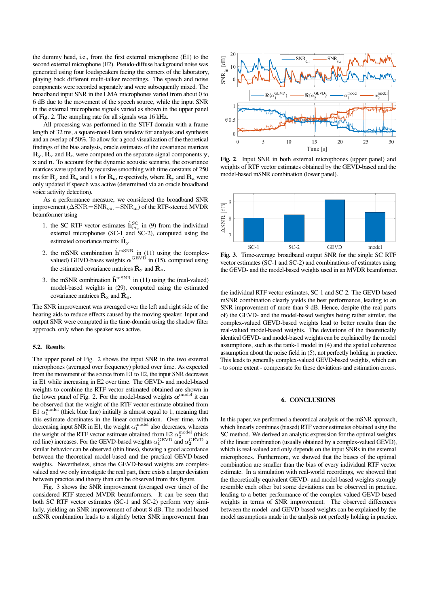the dummy head, i.e., from the first external microphone (E1) to the second external microphone (E2). Pseudo-diffuse background noise was generated using four loudspeakers facing the corners of the laboratory, playing back different multi-talker recordings. The speech and noise components were recorded separately and were subsequently mixed. The broadband input SNR in the LMA microphones varied from about 0 to 6 dB due to the movement of the speech source, while the input SNR in the external microphone signals varied as shown in the upper panel of Fig. [2.](#page-3-0) The sampling rate for all signals was 16 kHz.

All processing was performed in the STFT-domain with a frame length of 32 ms, a square-root-Hann window for analysis and synthesis and an overlap of 50%. To allow for a good visualization of the theoretical findings of the bias analysis, oracle estimates of the covariance matrices  $\mathbf{R}_{v}$ ,  $\mathbf{R}_{x}$  and  $\mathbf{R}_{n}$  were computed on the separate signal components y, x and n. To account for the dynamic acoustic scenario, the covariance matrices were updated by recursive smoothing with time constants of 250 ms for  $\mathbf{R}_y$  and  $\mathbf{R}_x$  and 1 s for  $\mathbf{R}_n$ , respectively, where  $\mathbf{R}_y$  and  $\mathbf{R}_x$  were only updated if speech was active (determined via an oracle broadband voice activity detection).

As a performance measure, we considered the broadband SNR improvement (∆SNR=SNRout−SNRin) of the RTF-steered MVDR beamformer using

- 1. the SC RTF vector estimates  $\tilde{\mathbf{h}}_{m_e}^{\text{SC}}$  in [\(9\)](#page-1-3) from the individual external microphones (SC-1 and SC-2), computed using the estimated covariance matrix  $\hat{\mathbf{R}}_{v}$ .
- 2. the mSNR combination  $\tilde{h}^{\text{mSNR}}$  in [\(11\)](#page-1-5) using the (complexvalued) GEVD-bases weights  $\alpha^{\text{GEVD}}$  in [\(15\)](#page-1-9), computed using the estimated covariance matrices  $\hat{\mathbf{R}}_{\text{v}}$  and  $\hat{\mathbf{R}}_{\text{n}}$ .
- 3. the mSNR combination  $\tilde{h}^{\text{mSNR}}$  in [\(11\)](#page-1-5) using the (real-valued) model-based weights in [\(29\)](#page-2-5), computed using the estimated covariance matrices  $\hat{\mathbf{R}}_{x}$  and  $\hat{\mathbf{R}}_{n}$ .

The SNR improvement was averaged over the left and right side of the hearing aids to reduce effects caused by the moving speaker. Input and output SNR were computed in the time-domain using the shadow filter approach, only when the speaker was active.

### 5.2. Results

The upper panel of Fig. [2](#page-3-0) shows the input SNR in the two external microphones (averaged over frequency) plotted over time. As expected from the movement of the source from E1 to E2, the input SNR decreases in E1 while increasing in E2 over time. The GEVD- and model-based weights to combine the RTF vector estimated obtained are shown in the lower panel of Fig. [2.](#page-3-0) For the model-based weights  $\alpha^{\text{model}}$  it can be observed that the weight of the RTF vector estimate obtained from E1  $\alpha_1^{\text{model}}$  (thick blue line) initially is almost equal to 1, meaning that this estimate dominates in the linear combination. Over time, with decreasing input SNR in E1, the weight  $\alpha_1^{\text{model}}$  also decreases, whereas the weight of the RTF vector estimate obtained from E2  $\alpha_2^{\text{model}}$  (thick red line) increases. For the GEVD-based weights  $\alpha_1^{\text{GEVD}}$  and  $\alpha_2^{\text{GEVD}}$  a similar behavior can be observed (thin lines), showing a good accordance between the theoretical model-based and the practical GEVD-based weights. Nevertheless, since the GEVD-based weights are complexvalued and we only investigate the real part, there exists a larger deviation between practice and theory than can be observed from this figure.

Fig. [3](#page-3-1) shows the SNR improvement (averaged over time) of the considered RTF-steered MVDR beamformers. It can be seen that both SC RTF vector estimates (SC-1 and SC-2) perform very similarly, yielding an SNR improvement of about 8 dB. The model-based mSNR combination leads to a slightly better SNR improvement than



<span id="page-3-0"></span>Fig. 2. Input SNR in both external microphones (upper panel) and weights of RTF vector estimates obtained by the GEVD-based and the model-based mSNR combination (lower panel).



<span id="page-3-1"></span>Fig. 3. Time-average broadband output SNR for the single SC RTF vector estimates (SC-1 and SC-2) and combinations of estimates using the GEVD- and the model-based weights used in an MVDR beamformer.

the individual RTF vector estimates, SC-1 and SC-2. The GEVD-based mSNR combination clearly yields the best performance, leading to an SNR improvement of more than 9 dB. Hence, despite (the real parts of) the GEVD- and the model-based weights being rather similar, the complex-valued GEVD-based weights lead to better results than the real-valued model-based weights. The deviations of the theoretically identical GEVD- and model-based weights can be explained by the model assumptions, such as the rank-1 model in [\(4\)](#page-1-2) and the spatial coherence assumption about the noise field in [\(5\)](#page-1-1), not perfectly holding in practice. This leads to generally complex-valued GEVD-based weights, which can - to some extent - compensate for these deviations and estimation errors.

## 6. CONCLUSIONS

In this paper, we performed a theoretical analysis of the mSNR approach, which linearly combines (biased) RTF vector estimates obtained using the SC method. We derived an analytic expression for the optimal weights of the linear combination (usually obtained by a complex-valued GEVD), which is real-valued and only depends on the input SNRs in the external microphones. Furthermore, we showed that the biases of the optimal combination are smaller than the bias of every individual RTF vector estimate. In a simulation with real-world recordings, we showed that the theoretically equivalent GEVD- and model-based weights strongly resemble each other but some deviations can be observed in practice, leading to a better performance of the complex-valued GEVD-based weights in terms of SNR improvement. The observed differences between the model- and GEVD-based weights can be explained by the model assumptions made in the analysis not perfectly holding in practice.